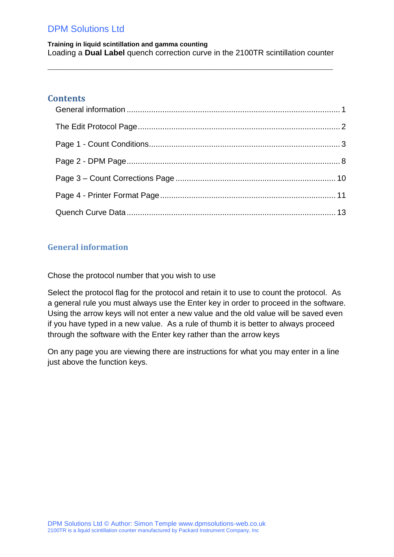**Training in liquid scintillation and gamma counting** Loading a **Dual Label** quench correction curve in the 2100TR scintillation counter

 $\_$  ,  $\_$  ,  $\_$  ,  $\_$  ,  $\_$  ,  $\_$  ,  $\_$  ,  $\_$  ,  $\_$  ,  $\_$  ,  $\_$  ,  $\_$  ,  $\_$  ,  $\_$  ,  $\_$  ,  $\_$  ,  $\_$  ,  $\_$  ,  $\_$  ,  $\_$  ,  $\_$  ,  $\_$  ,  $\_$  ,  $\_$  ,  $\_$  ,  $\_$  ,  $\_$  ,  $\_$  ,  $\_$  ,  $\_$  ,  $\_$  ,  $\_$  ,  $\_$  ,  $\_$  ,  $\_$  ,  $\_$  ,  $\_$  ,

### **Contents**

### <span id="page-0-0"></span>**General information**

Chose the protocol number that you wish to use

Select the protocol flag for the protocol and retain it to use to count the protocol. As a general rule you must always use the Enter key in order to proceed in the software. Using the arrow keys will not enter a new value and the old value will be saved even if you have typed in a new value. As a rule of thumb it is better to always proceed through the software with the Enter key rather than the arrow keys

On any page you are viewing there are instructions for what you may enter in a line just above the function keys.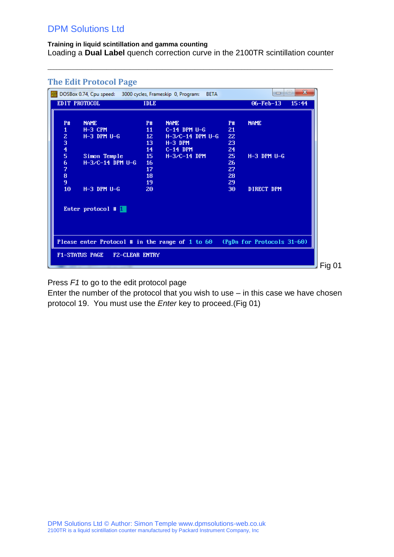#### **Training in liquid scintillation and gamma counting** Loading a **Dual Label** quench correction curve in the 2100TR scintillation counter

 $\_$  ,  $\_$  ,  $\_$  ,  $\_$  ,  $\_$  ,  $\_$  ,  $\_$  ,  $\_$  ,  $\_$  ,  $\_$  ,  $\_$  ,  $\_$  ,  $\_$  ,  $\_$  ,  $\_$  ,  $\_$  ,  $\_$  ,  $\_$  ,  $\_$  ,  $\_$  ,  $\_$  ,  $\_$  ,  $\_$  ,  $\_$  ,  $\_$  ,  $\_$  ,  $\_$  ,  $\_$  ,  $\_$  ,  $\_$  ,  $\_$  ,  $\_$  ,  $\_$  ,  $\_$  ,  $\_$  ,  $\_$  ,  $\_$  ,

|                 | The Edit Protocol Page                                     |                 |                    |           |                                                                            |        |
|-----------------|------------------------------------------------------------|-----------------|--------------------|-----------|----------------------------------------------------------------------------|--------|
| <b>DOS</b>      | DOSBox 0.74, Cpu speed: 3000 cycles, Frameskip 0, Program: |                 | <b>BETA</b>        |           | $\mathbf{x}$<br>$\qquad \qquad \Box$<br>-                                  |        |
|                 | EDIT PROTOCOL                                              | <b>IDLE</b>     |                    |           | $06 - Feb - 13$<br>15:44                                                   |        |
|                 |                                                            |                 |                    |           |                                                                            |        |
| <b>P#</b>       | <b>NAME</b>                                                | <b>P#</b>       | <b>NAME</b>        | <b>P#</b> | <b>NAME</b>                                                                |        |
| $\mathbf{1}$    | $H-3$ CPM                                                  | 11              | $C-14$ DPM $U-G$   | 21        |                                                                            |        |
|                 | $H-3$ DPM $U-G$                                            | 12 <sub>z</sub> | $H-3/C-14$ DPM U-G | 22        |                                                                            |        |
|                 |                                                            | 13              | $H-3$ DPM          | 23        |                                                                            |        |
|                 |                                                            | 14              | $C-14$ DPM         | 24        |                                                                            |        |
| 234567          | Simon Temple                                               | 15              | $H-3/C-14$ DPM     | 25        | $H-3$ DPM $U-G$                                                            |        |
|                 | $H-3/C-14$ DPM U-G                                         | 16              |                    | 26        |                                                                            |        |
|                 |                                                            | 17              |                    | 27        |                                                                            |        |
| 8               |                                                            | 18              |                    | 28        |                                                                            |        |
| 9               |                                                            | 19              |                    | 29        |                                                                            |        |
| 10 <sub>1</sub> | $H-3$ DPM $U-G$                                            | 20              |                    | 30        | DIRECT DPM                                                                 |        |
|                 |                                                            |                 |                    |           |                                                                            |        |
|                 |                                                            |                 |                    |           |                                                                            |        |
|                 | Enter protocol $\#$                                        |                 |                    |           |                                                                            |        |
|                 |                                                            |                 |                    |           |                                                                            |        |
|                 |                                                            |                 |                    |           |                                                                            |        |
|                 |                                                            |                 |                    |           |                                                                            |        |
|                 |                                                            |                 |                    |           |                                                                            |        |
|                 |                                                            |                 |                    |           | Please enter Protocol # in the range of 1 to 60 (PgDn for Protocols 31-60) |        |
|                 |                                                            |                 |                    |           |                                                                            |        |
|                 | <b>F1-STATUS PAGE</b><br><b>FZ-CLEAR ENTRY</b>             |                 |                    |           |                                                                            |        |
|                 |                                                            |                 |                    |           |                                                                            | Fig 01 |

### <span id="page-1-0"></span>**The Edit Protocol Page**

Press *F1* to go to the edit protocol page

Enter the number of the protocol that you wish to use – in this case we have chosen protocol 19. You must use the *Enter* key to proceed.(Fig 01)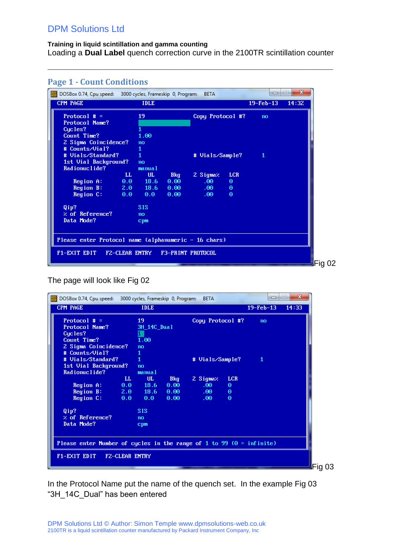#### **Training in liquid scintillation and gamma counting** Loading a **Dual Label** quench correction curve in the 2100TR scintillation counter

 $\_$  ,  $\_$  ,  $\_$  ,  $\_$  ,  $\_$  ,  $\_$  ,  $\_$  ,  $\_$  ,  $\_$  ,  $\_$  ,  $\_$  ,  $\_$  ,  $\_$  ,  $\_$  ,  $\_$  ,  $\_$  ,  $\_$  ,  $\_$  ,  $\_$  ,  $\_$  ,  $\_$  ,  $\_$  ,  $\_$  ,  $\_$  ,  $\_$  ,  $\_$  ,  $\_$  ,  $\_$  ,  $\_$  ,  $\_$  ,  $\_$  ,  $\_$  ,  $\_$  ,  $\_$  ,  $\_$  ,  $\_$  ,  $\_$  ,

<span id="page-2-0"></span>

| Protocol $# =$<br>19<br>Copy Protocol #?<br>no<br>Protocol Name?<br>Cucles?<br>Count Time?<br>1.00<br>2 Sigma Coincidence?<br>no<br># Counts/Vial?<br>1<br># Uials/Standard?<br>1<br># Vials/Sample?<br>-1<br>1st Uial Background?<br>no<br>Radionuclide?<br>manual<br>$\mathbf{L}$<br>UL.<br><b>LCR</b><br>2 Sigmaz<br><b>Bkg</b><br>$0.0$ 18.6<br>0.00<br>.00.<br>Region A:<br>Θ<br>Region B: 2.0 18.6<br>0.00<br>$.00 -$<br>$\Theta$<br>Region C:<br>0.0 0.0<br>0.00<br>$.00 -$<br>$\Theta$<br>and the state of the state of the state of the state of the state of the state of the state of the state of th<br>Qip?<br><b>SIS</b><br>$\times$ of Reference?<br>no<br>Data Mode?<br>cpm | <b>CPM PAGE</b> | <b>IDLE</b> |  | $19 - \text{Feb} - 13$ | 14:32 |
|---------------------------------------------------------------------------------------------------------------------------------------------------------------------------------------------------------------------------------------------------------------------------------------------------------------------------------------------------------------------------------------------------------------------------------------------------------------------------------------------------------------------------------------------------------------------------------------------------------------------------------------------------------------------------------------------|-----------------|-------------|--|------------------------|-------|
|                                                                                                                                                                                                                                                                                                                                                                                                                                                                                                                                                                                                                                                                                             |                 |             |  |                        |       |
|                                                                                                                                                                                                                                                                                                                                                                                                                                                                                                                                                                                                                                                                                             |                 |             |  |                        |       |
|                                                                                                                                                                                                                                                                                                                                                                                                                                                                                                                                                                                                                                                                                             |                 |             |  |                        |       |
|                                                                                                                                                                                                                                                                                                                                                                                                                                                                                                                                                                                                                                                                                             |                 |             |  |                        |       |
|                                                                                                                                                                                                                                                                                                                                                                                                                                                                                                                                                                                                                                                                                             |                 |             |  |                        |       |
|                                                                                                                                                                                                                                                                                                                                                                                                                                                                                                                                                                                                                                                                                             |                 |             |  |                        |       |
|                                                                                                                                                                                                                                                                                                                                                                                                                                                                                                                                                                                                                                                                                             |                 |             |  |                        |       |
|                                                                                                                                                                                                                                                                                                                                                                                                                                                                                                                                                                                                                                                                                             |                 |             |  |                        |       |
|                                                                                                                                                                                                                                                                                                                                                                                                                                                                                                                                                                                                                                                                                             |                 |             |  |                        |       |
|                                                                                                                                                                                                                                                                                                                                                                                                                                                                                                                                                                                                                                                                                             |                 |             |  |                        |       |
|                                                                                                                                                                                                                                                                                                                                                                                                                                                                                                                                                                                                                                                                                             |                 |             |  |                        |       |
|                                                                                                                                                                                                                                                                                                                                                                                                                                                                                                                                                                                                                                                                                             |                 |             |  |                        |       |
|                                                                                                                                                                                                                                                                                                                                                                                                                                                                                                                                                                                                                                                                                             |                 |             |  |                        |       |
|                                                                                                                                                                                                                                                                                                                                                                                                                                                                                                                                                                                                                                                                                             |                 |             |  |                        |       |
|                                                                                                                                                                                                                                                                                                                                                                                                                                                                                                                                                                                                                                                                                             |                 |             |  |                        |       |
|                                                                                                                                                                                                                                                                                                                                                                                                                                                                                                                                                                                                                                                                                             |                 |             |  |                        |       |
|                                                                                                                                                                                                                                                                                                                                                                                                                                                                                                                                                                                                                                                                                             |                 |             |  |                        |       |
|                                                                                                                                                                                                                                                                                                                                                                                                                                                                                                                                                                                                                                                                                             |                 |             |  |                        |       |
| Please enter Protocol name (alphanumeric - 16 chars)                                                                                                                                                                                                                                                                                                                                                                                                                                                                                                                                                                                                                                        |                 |             |  |                        |       |
|                                                                                                                                                                                                                                                                                                                                                                                                                                                                                                                                                                                                                                                                                             |                 |             |  |                        |       |

The page will look like Fig 02

| DOSBox 0.74, Cpu speed: 3000 cycles, Frameskip 0, Program:                   |                       |              |            | <b>BETA</b>      |            | -           | $\mathbf{x}$<br>$\left  \right $ |
|------------------------------------------------------------------------------|-----------------------|--------------|------------|------------------|------------|-------------|----------------------------------|
| CPM PAGE                                                                     |                       | <b>IDLE</b>  |            |                  |            | $19-Feb-13$ | 14:33                            |
| Protocol $# =$                                                               |                       | 19           |            | Copy Protocol #? |            | no          |                                  |
| Protocol Name?                                                               |                       | 3H_14C_Dual  |            |                  |            |             |                                  |
| Cucles?                                                                      |                       |              |            |                  |            |             |                                  |
| Count Time?                                                                  |                       | 1.00         |            |                  |            |             |                                  |
| 2 Sigma Coincidence?                                                         |                       | no           |            |                  |            |             |                                  |
| # Counts/Vial?                                                               |                       |              |            |                  |            |             |                                  |
| # Vials/Standard?                                                            |                       | $\mathbf{1}$ |            | # Vials/Sample?  |            | 1           |                                  |
| 1st Uial Background?                                                         |                       | no           |            |                  |            |             |                                  |
| Radionuclide?                                                                |                       | manual       |            |                  |            |             |                                  |
|                                                                              | LL.                   | UL.          | <b>Bkg</b> | 2 Sigmaz         | <b>LCR</b> |             |                                  |
| Region A:                                                                    |                       | $0.0$ 18.6   | 0.00       | .00 <sub>1</sub> | Θ          |             |                                  |
| Region B:                                                                    |                       | $2.0$ 18.6   | 0.00       | $.00 -$          | Θ          |             |                                  |
| Region C:                                                                    | $0.0 -$               | 0.0          | 0.00       | .00 <sub>1</sub> | $\Theta$   |             |                                  |
| Qip?                                                                         |                       | <b>SIS</b>   |            |                  |            |             |                                  |
| $\times$ of Reference?                                                       |                       | no           |            |                  |            |             |                                  |
| Data Mode?                                                                   |                       | cpm          |            |                  |            |             |                                  |
|                                                                              |                       |              |            |                  |            |             |                                  |
|                                                                              |                       |              |            |                  |            |             |                                  |
| Please enter Number of cycles in the range of 1 to 99 ( $\theta$ = infinite) |                       |              |            |                  |            |             |                                  |
|                                                                              |                       |              |            |                  |            |             |                                  |
| F1-EXIT EDIT                                                                 | <b>FZ-CLEAR ENTRY</b> |              |            |                  |            |             |                                  |
|                                                                              |                       |              |            |                  |            |             |                                  |

In the Protocol Name put the name of the quench set. In the example Fig 03 "3H\_14C\_Dual" has been entered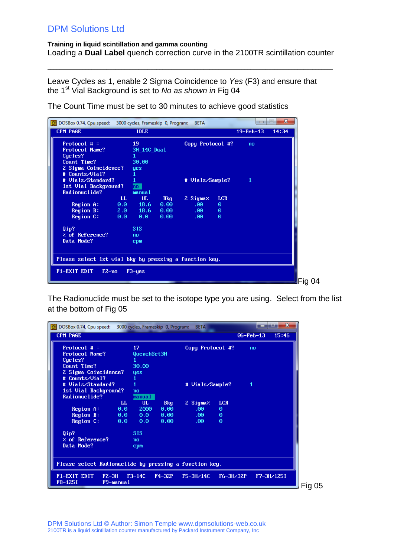**Training in liquid scintillation and gamma counting** Loading a **Dual Label** quench correction curve in the 2100TR scintillation counter

 $\_$  ,  $\_$  ,  $\_$  ,  $\_$  ,  $\_$  ,  $\_$  ,  $\_$  ,  $\_$  ,  $\_$  ,  $\_$  ,  $\_$  ,  $\_$  ,  $\_$  ,  $\_$  ,  $\_$  ,  $\_$  ,  $\_$  ,  $\_$  ,  $\_$  ,  $\_$  ,  $\_$  ,  $\_$  ,  $\_$  ,  $\_$  ,  $\_$  ,  $\_$  ,  $\_$  ,  $\_$  ,  $\_$  ,  $\_$  ,  $\_$  ,  $\_$  ,  $\_$  ,  $\_$  ,  $\_$  ,  $\_$  ,  $\_$  ,

Leave Cycles as 1, enable 2 Sigma Coincidence to *Yes* (F3) and ensure that the 1st Vial Background is set to *No as shown in* Fig 04

| $\frac{pos}{log}$<br>DOSBox 0.74, Cpu speed: 3000 cycles, Frameskip 0, Program: |         |             |            | <b>BETA</b>      |            | ▭           | $\mathbf{x}$<br>i=i |
|---------------------------------------------------------------------------------|---------|-------------|------------|------------------|------------|-------------|---------------------|
| <b>CPM PAGE</b>                                                                 |         | <b>IDLE</b> |            |                  |            | $19-Feb-13$ | 14:34               |
| Protocol # $=$                                                                  |         | 19          |            | Copy Protocol #? |            | no          |                     |
| Protocol Name?                                                                  |         | 3H_14C_Dual |            |                  |            |             |                     |
| Cucles?                                                                         |         |             |            |                  |            |             |                     |
| Count Time?                                                                     |         | 30.00       |            |                  |            |             |                     |
| 2 Sigma Coincidence?                                                            |         | yes         |            |                  |            |             |                     |
| # Counts/Vial?                                                                  |         |             |            |                  |            |             |                     |
| # Vials/Standard?                                                               |         |             |            | # Vials/Sample?  |            | 1           |                     |
| 1st Vial Background?                                                            |         | ho .        |            |                  |            |             |                     |
| Radionuclide?                                                                   |         | manua 1     |            |                  |            |             |                     |
|                                                                                 | LL.     | UL.         | <b>Bkg</b> | 2 Sigmaz         | <b>LCR</b> |             |                     |
| Region A:                                                                       | $0.0 -$ | 18.6        | 0.00       | .00.             | $\Theta$   |             |                     |
| Region B:                                                                       |         | $2.0$ 18.6  | 0.00       | $.60 -$          | $\Theta$   |             |                     |
| Region C:                                                                       | 0.0     | 0.0         | 0.00       | .00 <sub>1</sub> | $\Theta$   |             |                     |
| Qip?                                                                            |         | <b>SIS</b>  |            |                  |            |             |                     |
| $%$ of Reference?                                                               |         | no          |            |                  |            |             |                     |
| Data Mode?                                                                      |         | cpm         |            |                  |            |             |                     |
|                                                                                 |         |             |            |                  |            |             |                     |
|                                                                                 |         |             |            |                  |            |             |                     |
| Please select 1st vial bkg by pressing a function key.                          |         |             |            |                  |            |             |                     |
| F1-EXIT EDIT                                                                    | $FZ-no$ | $F3 - yes$  |            |                  |            |             |                     |
|                                                                                 |         |             |            |                  |            |             |                     |

The Count Time must be set to 30 minutes to achieve good statistics

The Radionuclide must be set to the isotope type you are using. Select from the list at the bottom of Fig 05

| DOSBox 0.74, Cpu speed: 3000 cycles, Frameskip 0, Program: |             |            | <b>BETA</b>      |                 |                 | $\overline{\mathbf{x}}$ |
|------------------------------------------------------------|-------------|------------|------------------|-----------------|-----------------|-------------------------|
| <b>CPM PAGE</b>                                            |             |            |                  |                 | $06 - Feb - 13$ | 15:46                   |
| Protocol $# =$                                             | 17          |            | Copy Protocol #? |                 | no              |                         |
| Protocol Name?                                             | QuenchSet3H |            |                  |                 |                 |                         |
| Cucles?                                                    |             |            |                  |                 |                 |                         |
| Count Time?                                                | 30.00       |            |                  |                 |                 |                         |
| 2 Sigma Coincidence?                                       | yes         |            |                  |                 |                 |                         |
| # Counts/Vial?                                             |             |            |                  |                 |                 |                         |
| # Uials/Standard?                                          |             |            | # Vials/Sample?  |                 | $\mathbf{1}$    |                         |
| 1st Vial Background?                                       | no          |            |                  |                 |                 |                         |
| Radionuclide?                                              | manua 1     |            |                  |                 |                 |                         |
| LL.                                                        | UL.         | <b>Bkg</b> | 2 Sigmaz         | <b>LCR</b>      |                 |                         |
| 0.0<br>Region A:                                           | 2000        | 0.00       | .00.             | $\Theta$        |                 |                         |
| Region B:<br>0.0                                           | 0.0         | 0.00       | .00 <sub>1</sub> | $\Theta$        |                 |                         |
| Region C:<br>0.0                                           | 0.0         | 0.00       | .00 <sub>1</sub> | $\Theta$        |                 |                         |
| Qip?                                                       | <b>SIS</b>  |            |                  |                 |                 |                         |
| $%$ of Reference?                                          | no          |            |                  |                 |                 |                         |
| Data Mode?                                                 | cpm         |            |                  |                 |                 |                         |
|                                                            |             |            |                  |                 |                 |                         |
| Please select Radionuclide by pressing a function key.     |             |            |                  |                 |                 |                         |
| F1-EXIT EDIT<br>$FZ - 3H$<br>F8-125I<br>F9-manual          | $F3-14C$    | $F4-32P$   | $F5 - 3H / 14C$  | $F6 - 3H / 32P$ |                 | F7-3H/125I              |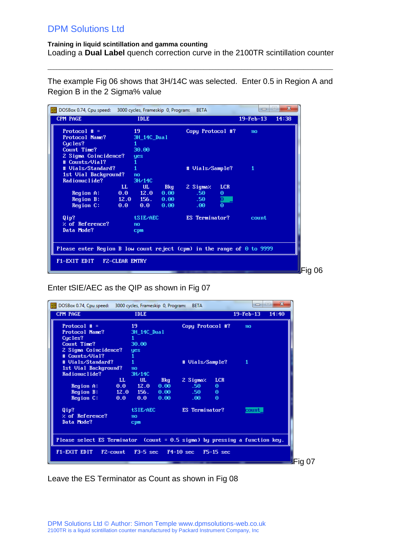#### **Training in liquid scintillation and gamma counting** Loading a **Dual Label** quench correction curve in the 2100TR scintillation counter

 $\_$  ,  $\_$  ,  $\_$  ,  $\_$  ,  $\_$  ,  $\_$  ,  $\_$  ,  $\_$  ,  $\_$  ,  $\_$  ,  $\_$  ,  $\_$  ,  $\_$  ,  $\_$  ,  $\_$  ,  $\_$  ,  $\_$  ,  $\_$  ,  $\_$  ,  $\_$  ,  $\_$  ,  $\_$  ,  $\_$  ,  $\_$  ,  $\_$  ,  $\_$  ,  $\_$  ,  $\_$  ,  $\_$  ,  $\_$  ,  $\_$  ,  $\_$  ,  $\_$  ,  $\_$  ,  $\_$  ,  $\_$  ,  $\_$  ,

The example Fig 06 shows that 3H/14C was selected. Enter 0.5 in Region A and Region B in the 2 Sigma% value

| DOSBox 0.74, Cpu speed: 3000 cycles, Frameskip 0, Program:                    |                       |             |            | <b>BETA</b>      |                     | ▭                      | $\mathbf{x}$<br><b>I</b> |
|-------------------------------------------------------------------------------|-----------------------|-------------|------------|------------------|---------------------|------------------------|--------------------------|
| <b>CPM PAGE</b>                                                               |                       | <b>IDLE</b> |            |                  |                     | $19 - \text{Feb} - 13$ | 14:38                    |
| Protocol $\#$ =                                                               |                       | 19          |            | Copy Protocol #? |                     | no                     |                          |
| Protocol Name?                                                                |                       | 3H 14C Dual |            |                  |                     |                        |                          |
| Cucles?                                                                       |                       |             |            |                  |                     |                        |                          |
| Count Time?                                                                   |                       | 30.00       |            |                  |                     |                        |                          |
| 2 Sigma Coincidence?                                                          |                       | yes         |            |                  |                     |                        |                          |
| # Counts/Vial?                                                                |                       |             |            |                  |                     |                        |                          |
| # Uials/Standard?                                                             |                       |             |            | # Vials/Sample?  |                     | 1                      |                          |
| 1st Vial Background?                                                          |                       | no          |            |                  |                     |                        |                          |
| Radionuclide?                                                                 |                       | 3H/14C      |            |                  |                     |                        |                          |
|                                                                               | $\mathbf{L}$          | UL.         | <b>Bkg</b> | 2 Sigmaz         | <b>LCR</b>          |                        |                          |
| Region A:                                                                     | 0.0 12.0              |             | 0.00       | .50              | $\Theta$            |                        |                          |
| Region B:                                                                     |                       | $12.0$ 156. | 0.00       | .50 <sub>1</sub> | o                   |                        |                          |
| Region C:                                                                     | 0.0                   | 0.0         | 0.00       | .00.             | $\overline{\Theta}$ |                        |                          |
| Qip?                                                                          |                       | tSIE/AEC    |            | ES Terminator?   |                     | count                  |                          |
| $\times$ of Reference?                                                        |                       | no          |            |                  |                     |                        |                          |
| Data Mode?                                                                    |                       | cpm         |            |                  |                     |                        |                          |
|                                                                               |                       |             |            |                  |                     |                        |                          |
| Please enter Region B low count reject (cpm) in the range of $\Theta$ to 9999 |                       |             |            |                  |                     |                        |                          |
|                                                                               |                       |             |            |                  |                     |                        |                          |
| F1-EXIT EDIT                                                                  | <b>FZ-CLEAR ENTRY</b> |             |            |                  |                     |                        |                          |
|                                                                               |                       |             |            |                  |                     |                        |                          |
|                                                                               |                       |             |            |                  |                     |                        |                          |

Enter tSIE/AEC as the QIP as shown in Fig 07

| DOSBox 0.74, Cpu speed: 3000 cycles, Frameskip 0, Program:                 |              |                    |                        | <b>BETA</b>      |             | $\Box$      | $\overline{\mathbf{x}}$<br>$\left  \equiv \right $ |
|----------------------------------------------------------------------------|--------------|--------------------|------------------------|------------------|-------------|-------------|----------------------------------------------------|
| CPM PAGE                                                                   |              | <b>IDLE</b>        |                        |                  |             | $19-Feb-13$ | 14:40                                              |
| Protocol $# =$                                                             |              | 19                 |                        | Copy Protocol #? |             | no          |                                                    |
| Protocol Name?                                                             |              | <b>3H 14C Dual</b> |                        |                  |             |             |                                                    |
| Cycles?                                                                    |              |                    |                        |                  |             |             |                                                    |
| Count Time?                                                                |              | 30.00              |                        |                  |             |             |                                                    |
| 2 Sigma Coincidence?                                                       |              | yes                |                        |                  |             |             |                                                    |
| # Counts/Vial?                                                             |              |                    |                        |                  |             |             |                                                    |
| # Uials/Standard?                                                          | $\mathbf{1}$ |                    |                        | # Vials/Sample?  |             | 1           |                                                    |
| 1st Vial Background?                                                       |              | no                 |                        |                  |             |             |                                                    |
| Radionuclide?                                                              |              | 3H/14C             |                        |                  |             |             |                                                    |
|                                                                            | $\mathbf{L}$ | UL.                | <b>Bkg</b>             | 2 Sigmaz.        | <b>LCR</b>  |             |                                                    |
| Region A:                                                                  | $0.0$ 12.0   |                    | 0.00                   | .50 <sub>1</sub> | $\Theta$    |             |                                                    |
| Region B:                                                                  | 12.0         | $-156.$            | 0.00                   | .50 <sub>1</sub> | $\Theta$    |             |                                                    |
| Region C:                                                                  | 0.0          | $0.0 -$            | 0.00                   | .00.             | $\Theta$    |             |                                                    |
| Qip?                                                                       |              | tSIE/AEC           |                        | ES Terminator?   |             | count       |                                                    |
| $\times$ of Reference?                                                     |              | no                 |                        |                  |             |             |                                                    |
| Data Mode?                                                                 |              | cpm                |                        |                  |             |             |                                                    |
|                                                                            |              |                    |                        |                  |             |             |                                                    |
| Please select ES Terminator (count = 0.5 sigma)by pressing a function key. |              |                    |                        |                  |             |             |                                                    |
|                                                                            |              |                    |                        |                  |             |             |                                                    |
| F1-EXIT EDIT                                                               | F2-count     |                    | $F3-5$ sec $F4-10$ sec |                  | $F5-15$ sec |             |                                                    |
|                                                                            |              |                    |                        |                  |             |             |                                                    |
|                                                                            |              |                    |                        |                  |             |             | Fig 07                                             |

Leave the ES Terminator as Count as shown in Fig 08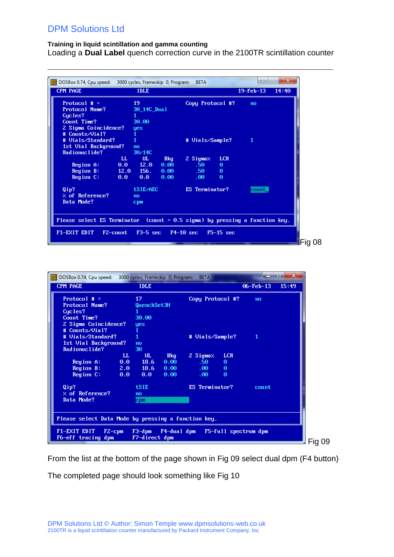#### **Training in liquid scintillation and gamma counting**

Loading a **Dual Label** quench correction curve in the 2100TR scintillation counter

 $\_$  ,  $\_$  ,  $\_$  ,  $\_$  ,  $\_$  ,  $\_$  ,  $\_$  ,  $\_$  ,  $\_$  ,  $\_$  ,  $\_$  ,  $\_$  ,  $\_$  ,  $\_$  ,  $\_$  ,  $\_$  ,  $\_$  ,  $\_$  ,  $\_$  ,  $\_$  ,  $\_$  ,  $\_$  ,  $\_$  ,  $\_$  ,  $\_$  ,  $\_$  ,  $\_$  ,  $\_$  ,  $\_$  ,  $\_$  ,  $\_$  ,  $\_$  ,  $\_$  ,  $\_$  ,  $\_$  ,  $\_$  ,  $\_$  ,

| DOSBox 0.74, Cpu speed: 3000 cycles, Frameskip 0, Program:                    |                     |                           | <b>BETA</b>      |             | $\Box$      | $\mathbf{x}$<br>زدا |
|-------------------------------------------------------------------------------|---------------------|---------------------------|------------------|-------------|-------------|---------------------|
| <b>CPM PAGE</b>                                                               | <b>IDLE</b>         |                           |                  |             | $19-Feb-13$ | 14:40               |
| Protocol $# =$                                                                | 19                  |                           | Copy Protocol #? |             | no          |                     |
| Protocol Name?                                                                | 3H 14C Dual         |                           |                  |             |             |                     |
| Cucles?                                                                       | 1                   |                           |                  |             |             |                     |
| Count Time?                                                                   | 30.00               |                           |                  |             |             |                     |
| 2 Sigma Coincidence?                                                          | yes                 |                           |                  |             |             |                     |
| # Counts/Vial?                                                                |                     |                           |                  |             |             |                     |
| # Uials/Standard?                                                             | $\mathbf{1}$        |                           | # Vials/Sample?  |             | 1           |                     |
| 1st Vial Background?                                                          | no                  |                           |                  |             |             |                     |
| Radionuclide?                                                                 | 3H/14C              |                           |                  |             |             |                     |
|                                                                               | $\mathbf{L}$<br>UL. | <b>Bkg</b>                | 2 Sigmaz         | <b>LCR</b>  |             |                     |
| Region A:                                                                     | $0.0$ 12.0          | 0.00                      | $.50 -$          | $\Theta$    |             |                     |
| Region B:                                                                     | $12.0$ 156.         | 0.00                      | $.50 -$          | $\Theta$    |             |                     |
| Region C:                                                                     | 0.0<br>0.0          | 0.00                      | .60 <sub>1</sub> | $\Theta$    |             |                     |
| Qip?                                                                          | tSIE/AEC            |                           | ES Terminator?   |             | count       |                     |
| % of Reference?                                                               | no                  |                           |                  |             |             |                     |
| Data Mode?                                                                    | cpm                 |                           |                  |             |             |                     |
|                                                                               |                     |                           |                  |             |             |                     |
|                                                                               |                     |                           |                  |             |             |                     |
| Please select ES Terminator (count = $0.5$ sigma) by pressing a function key. |                     |                           |                  |             |             |                     |
| F1-EXIT EDIT                                                                  | F2-count            | $F3-5$ sec $\blacksquare$ | $F4-10$ sec      | $F5-15$ sec |             |                     |
|                                                                               |                     |                           |                  |             |             |                     |
|                                                                               |                     |                           |                  |             |             |                     |

| DOSBox 0.74, Cpu speed: 3000 cycles, Frameskip 0, Program: |              |               |             | <b>BETA</b>      |            |                      | $\mathbf x$ |
|------------------------------------------------------------|--------------|---------------|-------------|------------------|------------|----------------------|-------------|
| CPM PAGE                                                   |              | <b>IDLE</b>   |             |                  |            | $06 - Feb - 13$      | 15:49       |
| Protocol # $=$                                             |              | 17            |             | Copy Protocol #? |            | no                   |             |
| Protocol Name?                                             |              | QuenchSet3H   |             |                  |            |                      |             |
| Cucles?                                                    |              |               |             |                  |            |                      |             |
| Count Time?                                                |              | 30.00         |             |                  |            |                      |             |
| 2 Sigma Coincidence?                                       |              | yes           |             |                  |            |                      |             |
| # Counts/Vial?                                             |              | $\mathbf{1}$  |             |                  |            |                      |             |
| # Uials/Standard?                                          |              | $\mathbf{1}$  |             | # Vials/Sample?  |            | 1                    |             |
| 1st Uial Background?                                       |              | no            |             |                  |            |                      |             |
| Radionuclide?                                              |              | 3H            |             |                  |            |                      |             |
|                                                            | LL.          | UL.           | <b>Bkg</b>  | 2 Sigmaz         | <b>LCR</b> |                      |             |
| Region A:                                                  | 0.0          | 18.6          | 0.00        | .50 <sub>1</sub> | $\Theta$   |                      |             |
| Region B:                                                  | 2.0          | 18.6          | 0.00        | $.00 -$          | Θ          |                      |             |
| Region C:                                                  | 0.0          | $0.0 -$       | 0.00        | .00 <sub>1</sub> | $\Theta$   |                      |             |
| Qip?                                                       |              | tSIE          |             | ES Terminator?   |            | count                |             |
| $\times$ of Reference?                                     |              | no            |             |                  |            |                      |             |
| Data Mode?                                                 |              | cpm           |             |                  |            |                      |             |
|                                                            |              |               |             |                  |            |                      |             |
|                                                            |              |               |             |                  |            |                      |             |
| Please select Data Mode by pressing a function key.        |              |               |             |                  |            |                      |             |
| F1-EXIT EDIT                                               | $F2$ – $cpm$ | $F3$ -dpm     | F4-dual dpm |                  |            | F5-full spectrum dpm |             |
| F6-eff tracing dpm                                         |              | F7-direct dpm |             |                  |            |                      |             |
|                                                            |              |               |             |                  |            |                      |             |

From the list at the bottom of the page shown in Fig 09 select dual dpm (F4 button) The completed page should look something like Fig 10

09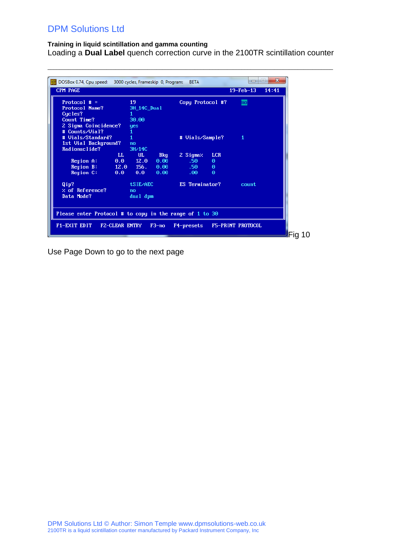#### **Training in liquid scintillation and gamma counting** Loading a **Dual Label** quench correction curve in the 2100TR scintillation counter

 $\_$  ,  $\_$  ,  $\_$  ,  $\_$  ,  $\_$  ,  $\_$  ,  $\_$  ,  $\_$  ,  $\_$  ,  $\_$  ,  $\_$  ,  $\_$  ,  $\_$  ,  $\_$  ,  $\_$  ,  $\_$  ,  $\_$  ,  $\_$  ,  $\_$  ,  $\_$  ,  $\_$  ,  $\_$  ,  $\_$  ,  $\_$  ,  $\_$  ,  $\_$  ,  $\_$  ,  $\_$  ,  $\_$  ,  $\_$  ,  $\_$  ,  $\_$  ,  $\_$  ,  $\_$  ,  $\_$  ,  $\_$  ,  $\_$  ,

| Protocol $# =$<br>19<br>Copy Protocol #?<br><b>Protocol Name?</b><br>3H_14C_Dual<br>Cucles?<br>Count Time?<br>30.00<br>2 Sigma Coincidence?<br>yes<br># Counts/Vial?<br># Uials/Standard?<br># Vials/Sample?<br>1st Vial Background?<br>no<br>Radionuclide?<br>3H/14C<br>LL.<br>UL.<br><b>LCR</b><br><b>Bkg</b><br>2 Sigmaz<br>.50 <sub>1</sub><br>0.00<br>Region A:<br>$0.0 -$<br>12.0<br>Θ<br>Region B:<br>$-156.$<br>12.0<br>0.00<br>$.50 -$<br>$\Theta$ | $\overline{\text{no}}$<br>1 |
|-------------------------------------------------------------------------------------------------------------------------------------------------------------------------------------------------------------------------------------------------------------------------------------------------------------------------------------------------------------------------------------------------------------------------------------------------------------|-----------------------------|
|                                                                                                                                                                                                                                                                                                                                                                                                                                                             |                             |
|                                                                                                                                                                                                                                                                                                                                                                                                                                                             |                             |
|                                                                                                                                                                                                                                                                                                                                                                                                                                                             |                             |
|                                                                                                                                                                                                                                                                                                                                                                                                                                                             |                             |
|                                                                                                                                                                                                                                                                                                                                                                                                                                                             |                             |
|                                                                                                                                                                                                                                                                                                                                                                                                                                                             |                             |
|                                                                                                                                                                                                                                                                                                                                                                                                                                                             |                             |
|                                                                                                                                                                                                                                                                                                                                                                                                                                                             |                             |
|                                                                                                                                                                                                                                                                                                                                                                                                                                                             |                             |
|                                                                                                                                                                                                                                                                                                                                                                                                                                                             |                             |
|                                                                                                                                                                                                                                                                                                                                                                                                                                                             |                             |
|                                                                                                                                                                                                                                                                                                                                                                                                                                                             |                             |
| Region C:<br>$\Theta$<br>0.0<br>0.0<br>0.00<br>.00 <sub>1</sub>                                                                                                                                                                                                                                                                                                                                                                                             |                             |
| Qip?<br>tSIE/AEC<br>ES Terminator?                                                                                                                                                                                                                                                                                                                                                                                                                          | count                       |
| $\times$ of Reference?<br>n <sub>o</sub>                                                                                                                                                                                                                                                                                                                                                                                                                    |                             |
| Data Mode?<br>dual dpm                                                                                                                                                                                                                                                                                                                                                                                                                                      |                             |
|                                                                                                                                                                                                                                                                                                                                                                                                                                                             |                             |
|                                                                                                                                                                                                                                                                                                                                                                                                                                                             |                             |
| Please enter Protocol # to copy in the range of 1 to 30                                                                                                                                                                                                                                                                                                                                                                                                     |                             |
|                                                                                                                                                                                                                                                                                                                                                                                                                                                             |                             |
| F1-EXIT EDIT<br><b>FZ-CLEAR ENTRY</b><br>$F3-no$<br>F4-presets                                                                                                                                                                                                                                                                                                                                                                                              | <b>F5-PRINT PROTOCOL</b>    |

Use Page Down to go to the next page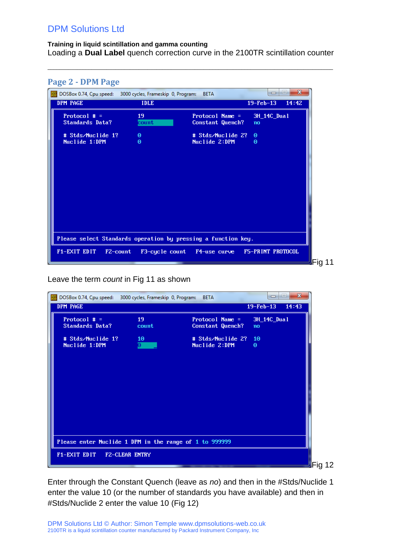<span id="page-7-0"></span>**Page 2 - DPM Page**

#### **Training in liquid scintillation and gamma counting** Loading a **Dual Label** quench correction curve in the 2100TR scintillation counter

 $\_$  ,  $\_$  ,  $\_$  ,  $\_$  ,  $\_$  ,  $\_$  ,  $\_$  ,  $\_$  ,  $\_$  ,  $\_$  ,  $\_$  ,  $\_$  ,  $\_$  ,  $\_$  ,  $\_$  ,  $\_$  ,  $\_$  ,  $\_$  ,  $\_$  ,  $\_$  ,  $\_$  ,  $\_$  ,  $\_$  ,  $\_$  ,  $\_$  ,  $\_$  ,  $\_$  ,  $\_$  ,  $\_$  ,  $\_$  ,  $\_$  ,  $\_$  ,  $\_$  ,  $\_$  ,  $\_$  ,  $\_$  ,  $\_$  ,

| $\mathbf{x}$<br>$\qquad \qquad \Box$<br>DOSBox 0.74, Cpu speed: 3000 cycles, Frameskip 0, Program:<br>$\Box$<br><b>BETA</b><br><b>DPM PAGE</b><br><b>IDLE</b><br>$19-Feb-13$<br>14:42<br>Protocol $# =$<br>19<br>Protocol Name =<br>3H_14C_Dual<br><b>Standards Data?</b><br>count<br>Constant Quench?<br>no<br>$\Theta$<br># Stds/Nuclide 1?<br># Stds/Nuclide 2?<br>$\Theta$<br>Nuclide 1:DPM<br>Nuclide 2:DPM<br>$\Theta$<br>Θ<br>Please select Standards operation by pressing a function key. | Page 2 - DPM Page |  |  |
|----------------------------------------------------------------------------------------------------------------------------------------------------------------------------------------------------------------------------------------------------------------------------------------------------------------------------------------------------------------------------------------------------------------------------------------------------------------------------------------------------|-------------------|--|--|
|                                                                                                                                                                                                                                                                                                                                                                                                                                                                                                    |                   |  |  |
|                                                                                                                                                                                                                                                                                                                                                                                                                                                                                                    |                   |  |  |
|                                                                                                                                                                                                                                                                                                                                                                                                                                                                                                    |                   |  |  |
|                                                                                                                                                                                                                                                                                                                                                                                                                                                                                                    |                   |  |  |
| F5-PRINT PROTOCOL<br>F1-EXIT EDIT<br>F2-count<br>F3-cycle count<br>F4-use curve                                                                                                                                                                                                                                                                                                                                                                                                                    |                   |  |  |

Leave the term *count* in Fig 11 as shown

| DPM PAGE<br>$19 - \text{Feb} - 13$<br>14:43<br>Protocol $# =$<br>19<br>Protocol Name =<br>3H_14C_Dual<br><b>Standards Data?</b><br>Constant Quench?<br>count<br>no<br># Stds/Nuclide 2?<br># Stds/Nuclide 1?<br>10 <sub>1</sub><br>10<br>$\overline{\bm{\theta}}$<br>Nuclide 1:DPM<br>Nuclide 2:DPM<br>$\Theta$ | Please enter Nuclide 1 DPM in the range of 1 to 999999 |
|-----------------------------------------------------------------------------------------------------------------------------------------------------------------------------------------------------------------------------------------------------------------------------------------------------------------|--------------------------------------------------------|
|                                                                                                                                                                                                                                                                                                                 |                                                        |
|                                                                                                                                                                                                                                                                                                                 |                                                        |
|                                                                                                                                                                                                                                                                                                                 |                                                        |

Enter through the Constant Quench (leave as *no*) and then in the #Stds/Nuclide 1 enter the value 10 (or the number of standards you have available) and then in #Stds/Nuclide 2 enter the value 10 (Fig 12)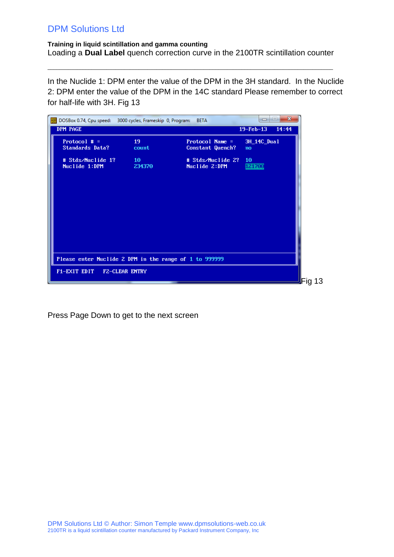#### **Training in liquid scintillation and gamma counting** Loading a **Dual Label** quench correction curve in the 2100TR scintillation counter

 $\_$  ,  $\_$  ,  $\_$  ,  $\_$  ,  $\_$  ,  $\_$  ,  $\_$  ,  $\_$  ,  $\_$  ,  $\_$  ,  $\_$  ,  $\_$  ,  $\_$  ,  $\_$  ,  $\_$  ,  $\_$  ,  $\_$  ,  $\_$  ,  $\_$  ,  $\_$  ,  $\_$  ,  $\_$  ,  $\_$  ,  $\_$  ,  $\_$  ,  $\_$  ,  $\_$  ,  $\_$  ,  $\_$  ,  $\_$  ,  $\_$  ,  $\_$  ,  $\_$  ,  $\_$  ,  $\_$  ,  $\_$  ,  $\_$  ,

In the Nuclide 1: DPM enter the value of the DPM in the 3H standard. In the Nuclide 2: DPM enter the value of the DPM in the 14C standard Please remember to correct for half-life with 3H. Fig 13

| $19-Feb-13$<br>19<br>Protocol Name =<br>3H_14C_Dual<br><b>Standards Data?</b><br>count<br>Constant Quench?<br>no<br># Stds/Nuclide 2?<br>$\sim$ 10<br>10<br>121700<br>Nuclide 2:DPM<br>234370 | DOSBox 0.74, Cpu speed: 3000 cycles, Frameskip 0, Program: |                       | <b>BETA</b> | $\mathbf{x}$<br>$\left  \equiv \right $<br>$\Box$ |
|-----------------------------------------------------------------------------------------------------------------------------------------------------------------------------------------------|------------------------------------------------------------|-----------------------|-------------|---------------------------------------------------|
|                                                                                                                                                                                               | DPM PAGE                                                   |                       |             | 14:44                                             |
|                                                                                                                                                                                               | Protocol $# =$                                             |                       |             |                                                   |
|                                                                                                                                                                                               | # Stds/Nuclide 1?<br>Nuclide 1:DPM                         |                       |             |                                                   |
|                                                                                                                                                                                               |                                                            |                       |             |                                                   |
| Please enter Nuclide 2 DPM in the range of 1 to 999999                                                                                                                                        | F1-EXIT EDIT                                               | <b>FZ-CLEAR ENTRY</b> |             |                                                   |

Press Page Down to get to the next screen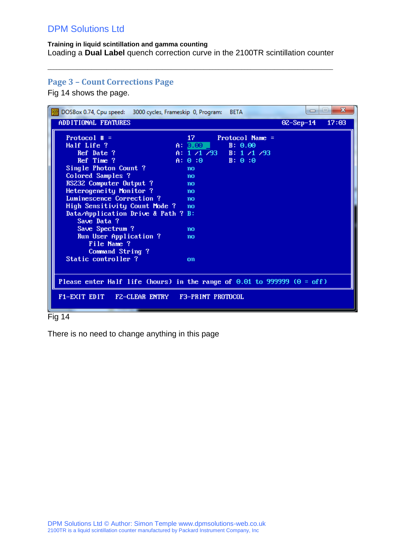#### **Training in liquid scintillation and gamma counting** Loading a **Dual Label** quench correction curve in the 2100TR scintillation counter

 $\_$  ,  $\_$  ,  $\_$  ,  $\_$  ,  $\_$  ,  $\_$  ,  $\_$  ,  $\_$  ,  $\_$  ,  $\_$  ,  $\_$  ,  $\_$  ,  $\_$  ,  $\_$  ,  $\_$  ,  $\_$  ,  $\_$  ,  $\_$  ,  $\_$  ,  $\_$  ,  $\_$  ,  $\_$  ,  $\_$  ,  $\_$  ,  $\_$  ,  $\_$  ,  $\_$  ,  $\_$  ,  $\_$  ,  $\_$  ,  $\_$  ,  $\_$  ,  $\_$  ,  $\_$  ,  $\_$  ,  $\_$  ,  $\_$  ,

## <span id="page-9-0"></span>**Page 3 – Count Corrections Page**

Fig 14 shows the page.

| DOSBox 0.74, Cpu speed: 3000 cycles, Frameskip 0, Program:                    |                   | <b>BETA</b>             | $\Box$      | $\mathbf{x}$<br><b>Imi</b> |
|-------------------------------------------------------------------------------|-------------------|-------------------------|-------------|----------------------------|
| ADDITIONAL FEATURES                                                           |                   |                         | $OZ-Sep-14$ | 17:03                      |
| Protocol $\#$ =                                                               | 17.               | Protocol Name =         |             |                            |
| Half Life ?                                                                   | A: 0.00           | B: 0.00                 |             |                            |
| Ref Date ?                                                                    |                   | A: $1/1/93$ B: $1/1/93$ |             |                            |
| Ref Time ?                                                                    | $A: 0:0$ $B: 0:0$ |                         |             |                            |
| Single Photon Count ?                                                         | no                |                         |             |                            |
| Colored Samples ?                                                             | no                |                         |             |                            |
| RS232 Computer Output ?                                                       | no                |                         |             |                            |
| Heterogeneity Monitor ?                                                       | no                |                         |             |                            |
| Luminescence Correction ?                                                     | no                |                         |             |                            |
| High Sensitivity Count Mode ? no                                              |                   |                         |             |                            |
| Data/Application Drive & Path ? B:<br>Save Data ?                             |                   |                         |             |                            |
| Save Spectrum ?                                                               | n <sub>0</sub>    |                         |             |                            |
| Run User Application ?                                                        | no                |                         |             |                            |
| File Name ?                                                                   |                   |                         |             |                            |
| Command String?                                                               |                   |                         |             |                            |
| Static controller ?                                                           | on                |                         |             |                            |
|                                                                               |                   |                         |             |                            |
|                                                                               |                   |                         |             |                            |
| Please enter Half life (hours) in the range of $0.01$ to 999999 ( $0 = off$ ) |                   |                         |             |                            |
| F1-EXIT EDIT FZ-CLEAR ENTRY F3-PRINT PROTOCOL                                 |                   |                         |             |                            |

#### Fig 14

There is no need to change anything in this page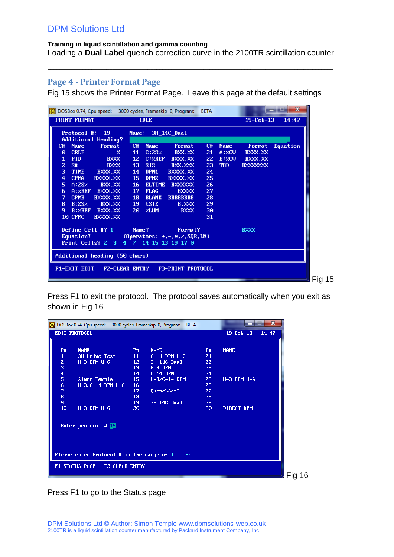#### **Training in liquid scintillation and gamma counting** Loading a **Dual Label** quench correction curve in the 2100TR scintillation counter

 $\_$  ,  $\_$  ,  $\_$  ,  $\_$  ,  $\_$  ,  $\_$  ,  $\_$  ,  $\_$  ,  $\_$  ,  $\_$  ,  $\_$  ,  $\_$  ,  $\_$  ,  $\_$  ,  $\_$  ,  $\_$  ,  $\_$  ,  $\_$  ,  $\_$  ,  $\_$  ,  $\_$  ,  $\_$  ,  $\_$  ,  $\_$  ,  $\_$  ,  $\_$  ,  $\_$  ,  $\_$  ,  $\_$  ,  $\_$  ,  $\_$  ,  $\_$  ,  $\_$  ,  $\_$  ,  $\_$  ,  $\_$  ,  $\_$  ,

### <span id="page-10-0"></span>**Page 4 - Printer Format Page**

Fig 15 shows the Printer Format Page. Leave this page at the default settings

|                         |              | DOSBox 0.74, Cpu speed: 3000 cycles, Frameskip 0, Program: |                 |                  |                                          | <b>BETA</b> |             |                        | $\mathbf{x}$<br>е<br>- |
|-------------------------|--------------|------------------------------------------------------------|-----------------|------------------|------------------------------------------|-------------|-------------|------------------------|------------------------|
|                         | PRINT FORMAT |                                                            |                 | <b>IDLE</b>      |                                          |             |             | $19 - \text{Feb} - 13$ | 14:47                  |
|                         | Protocol #:  | $-19$                                                      | Name:           |                  | 3H_14C_Dual                              |             |             |                        |                        |
|                         |              | Additional Heading?                                        |                 |                  |                                          |             |             |                        |                        |
| C#                      | <b>Name</b>  | Format                                                     | C#              | <b>Name</b>      | Format                                   | C#          | <b>Name</b> | Format                 | <b>Equation</b>        |
| Θ                       | <b>CRLF</b>  | x                                                          | 11              | C:2SZ            | BXX.XX                                   | 21          | A:ZCU       | BXXX.XX                |                        |
| $\mathbf{1}$            | <b>PID</b>   | <b>BXXX</b>                                                | 12 <sub>1</sub> | C:ZREF           | BXXX.XX                                  | 22          | B:ZCU       | BXXX.XX                |                        |
| $\overline{z}$          | S#           | <b>BXXX</b>                                                | 13 <sub>1</sub> | <b>SIS</b>       | BXX.XXX                                  | 23          | TOD.        | <b>BXXXXXXXX</b>       |                        |
| 3                       | <b>TIME</b>  | BXXX.XX                                                    | 14              | DPM1             | BXXXX.XX                                 | 24          |             |                        |                        |
| $\overline{\mathbf{4}}$ | <b>CPMA</b>  | BXXXX.XX                                                   | 15              | DPM <sub>2</sub> | BXXXX.XX                                 | 25          |             |                        |                        |
| 5.                      | A:2SZ        | BXX.XX                                                     | 16              | <b>ELTIME</b>    | <b>BXXXXXX</b>                           | 26          |             |                        |                        |
| 6                       | A:ZREF       | BXXX.XX                                                    | 17              | <b>FLAG</b>      | <b>BXXXX</b>                             | 27          |             |                        |                        |
| 7                       | <b>CPMB</b>  | BXXXX.XX                                                   | 18              | <b>BLANK</b>     | <b>BBBBBBBB</b>                          | 28          |             |                        |                        |
| 8                       | B:2SZ        | BXX.XX                                                     | 19              | <b>tSIE</b>      | B.XXX                                    | 29          |             |                        |                        |
| 9                       | B:zREF       | BXXX.XX                                                    | 20              | <b>ZLUM</b>      | <b>BXXX</b>                              | 30          |             |                        |                        |
|                         | 10 CPMC      | BXXXX.XX                                                   |                 |                  |                                          | 31          |             |                        |                        |
|                         |              | Define Cell #? $1$                                         | Name?           |                  | Format?                                  |             |             | <b>BXXX</b>            |                        |
|                         | Equation?    |                                                            |                 |                  | (Operators: $+, -, *, \angle$ , SQR, LN) |             |             |                        |                        |
|                         |              | Print Cells? 2 3                                           |                 |                  | 4 7 14 15 13 19 17 0                     |             |             |                        |                        |
|                         |              | Additional heading (50 chars)                              |                 |                  |                                          |             |             |                        |                        |
|                         | F1-EXIT EDIT | <b>FZ-CLEAR ENTRY</b>                                      |                 |                  | <b>F3-PRINT PROTOCOL</b>                 |             |             |                        |                        |
|                         |              |                                                            |                 |                  |                                          |             |             |                        |                        |

Press F1 to exit the protocol. The protocol saves automatically when you exit as shown in Fig 16

| DOSBox 0.74, Cpu speed: 3000 cycles, Frameskip 0, Program: | <b>BETA</b>        |           | $\mathbf{x}$<br>ادي<br>$\overline{\phantom{a}}$ |
|------------------------------------------------------------|--------------------|-----------|-------------------------------------------------|
| EDIT PROTOCOL                                              |                    |           | $19-Feb-13$<br>14:47                            |
|                                                            |                    |           |                                                 |
| <b>NAME</b><br><b>P#</b><br><b>P#</b>                      | <b>NAME</b>        | <b>P#</b> | <b>NAME</b>                                     |
| 3H Urine Test<br>11<br>1                                   | $C-14$ DPM $U-G$   | 21        |                                                 |
| 12 <sub>z</sub><br>$H-3$ DPM $U-G$                         | <b>3H_14C_Dual</b> | 22        |                                                 |
| 13                                                         | $H-3$ DPM          | 23        |                                                 |
| $\begin{array}{c}\n 2 \\ 3 \\ 4 \\ 5\n \end{array}$<br>14  | $C-14$ DPM         | 24        |                                                 |
| 15<br>Simon Temple                                         | $H - 3/C - 14$ DPM | 25        | $H-3$ DPM $U-G$                                 |
| 6<br>$H - 3/C - 14$ DPM U-G<br>16                          |                    | 26        |                                                 |
| 7<br>17                                                    | QuenchSet3H        | 27        |                                                 |
| 8<br>18                                                    |                    | 28        |                                                 |
| 9<br>19                                                    | 3H_14C_Dual        | 29        |                                                 |
| 10<br>$H-3$ DPM $U-G$<br>20                                |                    | 30        | DIRECT DPM                                      |
|                                                            |                    |           |                                                 |
|                                                            |                    |           |                                                 |
| Enter protocol # $\Box$                                    |                    |           |                                                 |
|                                                            |                    |           |                                                 |
|                                                            |                    |           |                                                 |
|                                                            |                    |           |                                                 |
| Please enter Protocol # in the range of 1 to 30            |                    |           |                                                 |
|                                                            |                    |           |                                                 |
| <b>F1-STATUS PAGE</b><br><b>FZ-CLEAR ENTRY</b>             |                    |           |                                                 |
|                                                            |                    |           |                                                 |

Press F1 to go to the Status page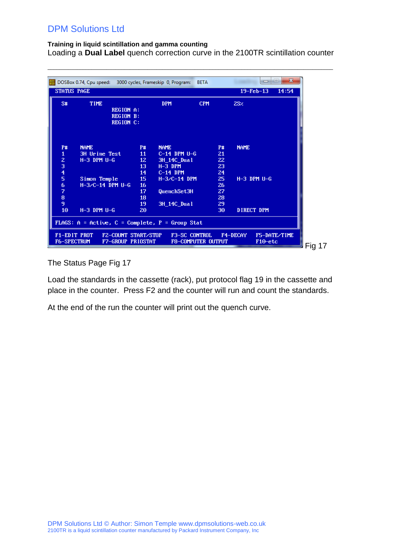### **Training in liquid scintillation and gamma counting**

Loading a **Dual Label** quench correction curve in the 2100TR scintillation counter

 $\_$  ,  $\_$  ,  $\_$  ,  $\_$  ,  $\_$  ,  $\_$  ,  $\_$  ,  $\_$  ,  $\_$  ,  $\_$  ,  $\_$  ,  $\_$  ,  $\_$  ,  $\_$  ,  $\_$  ,  $\_$  ,  $\_$  ,  $\_$  ,  $\_$  ,  $\_$  ,  $\_$  ,  $\_$  ,  $\_$  ,  $\_$  ,  $\_$  ,  $\_$  ,  $\_$  ,  $\_$  ,  $\_$  ,  $\_$  ,  $\_$  ,  $\_$  ,  $\_$  ,  $\_$  ,  $\_$  ,  $\_$  ,  $\_$  ,

| S#<br><b>TIME</b><br><b>DPM</b><br><b>CPM</b><br>2SZ<br><b>REGION A:</b><br><b>REGION B:</b><br><b>REGION C:</b><br><b>P#</b><br><b>NAME</b><br><b>NAME</b><br><b>P#</b><br><b>NAME</b><br><b>P#</b><br>1<br>3H Urine Test<br>11<br>$C-14$ DPM $U-G$<br>21<br>z<br>$H-3$ DPM $U-G$<br>12 <sub>1</sub><br><b>3H_14C_Dual</b><br>22<br>$\frac{3}{4}$<br>13<br>$H-3$ DPM<br>23<br>14<br>$C-14$ DPM<br>24<br>5<br>25 <sub>1</sub><br>Simon Temple<br>15<br>$H-3/C-14$ DPM<br>$H-3$ DPM $U-G$<br>6<br>$H-3/C-14$ DPM U-G<br>16<br>26<br>7<br>17<br>QuenchSet3H<br>27<br>8<br>18<br>28<br>9<br>19<br>29<br>3H_14C_Dual<br>10<br>$H-3$ DPM $U-G$<br>DIRECT DPM<br>30<br>20 | STATUS PAGE | DOSBox 0.74, Cpu speed: 3000 cycles, Frameskip 0, Program: | <b>BETA</b> | $19-Feb-13$ | 14:54 |
|---------------------------------------------------------------------------------------------------------------------------------------------------------------------------------------------------------------------------------------------------------------------------------------------------------------------------------------------------------------------------------------------------------------------------------------------------------------------------------------------------------------------------------------------------------------------------------------------------------------------------------------------------------------------|-------------|------------------------------------------------------------|-------------|-------------|-------|
|                                                                                                                                                                                                                                                                                                                                                                                                                                                                                                                                                                                                                                                                     |             |                                                            |             |             |       |
|                                                                                                                                                                                                                                                                                                                                                                                                                                                                                                                                                                                                                                                                     |             |                                                            |             |             |       |
|                                                                                                                                                                                                                                                                                                                                                                                                                                                                                                                                                                                                                                                                     |             |                                                            |             |             |       |

The Status Page Fig 17

Load the standards in the cassette (rack), put protocol flag 19 in the cassette and place in the counter. Press F2 and the counter will run and count the standards.

At the end of the run the counter will print out the quench curve.